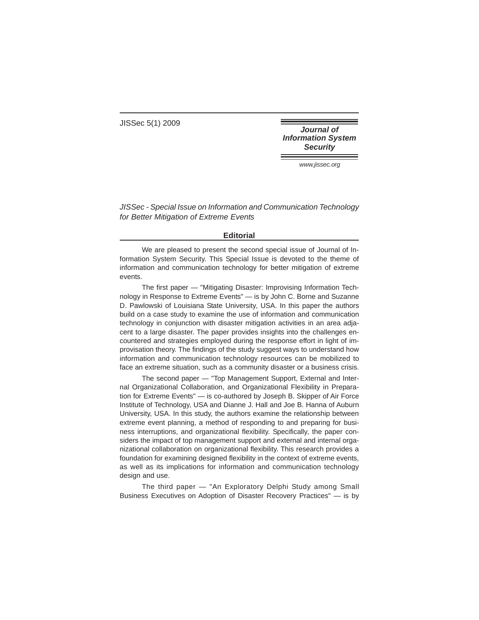JISSec 5(1) 2009

**Journal of Information System Security** 

www.jissec.org

JISSec - Special Issue on Information and Communication Technology for Better Mitigation of Extreme Events

## **Editorial**

We are pleased to present the second special issue of Journal of Information System Security. This Special Issue is devoted to the theme of information and communication technology for better mitigation of extreme events.

The first paper — "Mitigating Disaster: Improvising Information Technology in Response to Extreme Events" — is by John C. Borne and Suzanne D. Pawlowski of Louisiana State University, USA. In this paper the authors build on a case study to examine the use of information and communication technology in conjunction with disaster mitigation activities in an area adjacent to a large disaster. The paper provides insights into the challenges encountered and strategies employed during the response effort in light of improvisation theory. The findings of the study suggest ways to understand how information and communication technology resources can be mobilized to face an extreme situation, such as a community disaster or a business crisis.

The second paper — "Top Management Support, External and Internal Organizational Collaboration, and Organizational Flexibility in Preparation for Extreme Events" — is co-authored by Joseph B. Skipper of Air Force Institute of Technology, USA and Dianne J. Hall and Joe B. Hanna of Auburn University, USA. In this study, the authors examine the relationship between extreme event planning, a method of responding to and preparing for business interruptions, and organizational flexibility. Specifically, the paper considers the impact of top management support and external and internal organizational collaboration on organizational flexibility. This research provides a foundation for examining designed flexibility in the context of extreme events, as well as its implications for information and communication technology design and use.

The third paper — "An Exploratory Delphi Study among Small Business Executives on Adoption of Disaster Recovery Practices" — is by